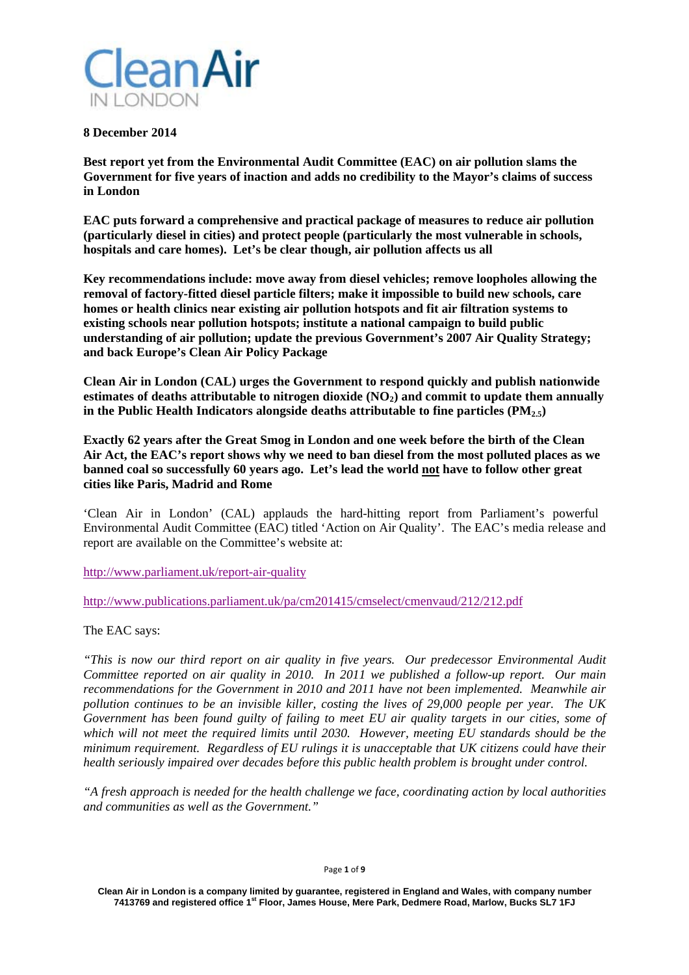

### **8 December 2014**

**Best report yet from the Environmental Audit Committee (EAC) on air pollution slams the Government for five years of inaction and adds no credibility to the Mayor's claims of success in London** 

**EAC puts forward a comprehensive and practical package of measures to reduce air pollution (particularly diesel in cities) and protect people (particularly the most vulnerable in schools, hospitals and care homes). Let's be clear though, air pollution affects us all** 

**Key recommendations include: move away from diesel vehicles; remove loopholes allowing the removal of factory-fitted diesel particle filters; make it impossible to build new schools, care homes or health clinics near existing air pollution hotspots and fit air filtration systems to existing schools near pollution hotspots; institute a national campaign to build public understanding of air pollution; update the previous Government's 2007 Air Quality Strategy; and back Europe's Clean Air Policy Package** 

**Clean Air in London (CAL) urges the Government to respond quickly and publish nationwide estimates of deaths attributable to nitrogen dioxide (NO2) and commit to update them annually**  in the Public Health Indicators alongside deaths attributable to fine particles  $(PM_{2.5})$ 

**Exactly 62 years after the Great Smog in London and one week before the birth of the Clean Air Act, the EAC's report shows why we need to ban diesel from the most polluted places as we banned coal so successfully 60 years ago. Let's lead the world not have to follow other great cities like Paris, Madrid and Rome** 

'Clean Air in London' (CAL) applauds the hard-hitting report from Parliament's powerful Environmental Audit Committee (EAC) titled 'Action on Air Quality'. The EAC's media release and report are available on the Committee's website at:

http://www.parliament.uk/report-air-quality

http://www.publications.parliament.uk/pa/cm201415/cmselect/cmenvaud/212/212.pdf

The EAC says:

*"This is now our third report on air quality in five years. Our predecessor Environmental Audit Committee reported on air quality in 2010. In 2011 we published a follow-up report. Our main recommendations for the Government in 2010 and 2011 have not been implemented. Meanwhile air pollution continues to be an invisible killer, costing the lives of 29,000 people per year. The UK Government has been found guilty of failing to meet EU air quality targets in our cities, some of which will not meet the required limits until 2030. However, meeting EU standards should be the minimum requirement. Regardless of EU rulings it is unacceptable that UK citizens could have their health seriously impaired over decades before this public health problem is brought under control.* 

*"A fresh approach is needed for the health challenge we face, coordinating action by local authorities and communities as well as the Government."* 

Page **1** of **9**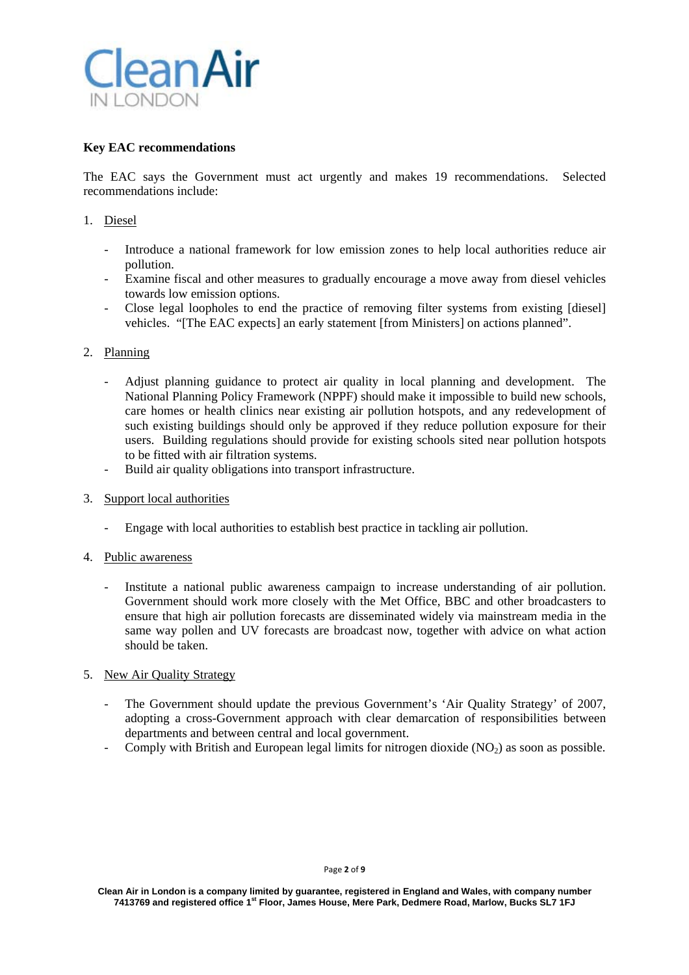

## **Key EAC recommendations**

The EAC says the Government must act urgently and makes 19 recommendations. Selected recommendations include:

## 1. Diesel

- Introduce a national framework for low emission zones to help local authorities reduce air pollution.
- Examine fiscal and other measures to gradually encourage a move away from diesel vehicles towards low emission options.
- Close legal loopholes to end the practice of removing filter systems from existing [diesel] vehicles. "[The EAC expects] an early statement [from Ministers] on actions planned".

# 2. Planning

- Adjust planning guidance to protect air quality in local planning and development. The National Planning Policy Framework (NPPF) should make it impossible to build new schools, care homes or health clinics near existing air pollution hotspots, and any redevelopment of such existing buildings should only be approved if they reduce pollution exposure for their users. Building regulations should provide for existing schools sited near pollution hotspots to be fitted with air filtration systems.
- Build air quality obligations into transport infrastructure.
- 3. Support local authorities
	- Engage with local authorities to establish best practice in tackling air pollution.
- 4. Public awareness
	- Institute a national public awareness campaign to increase understanding of air pollution. Government should work more closely with the Met Office, BBC and other broadcasters to ensure that high air pollution forecasts are disseminated widely via mainstream media in the same way pollen and UV forecasts are broadcast now, together with advice on what action should be taken.

### 5. New Air Quality Strategy

- The Government should update the previous Government's 'Air Quality Strategy' of 2007, adopting a cross-Government approach with clear demarcation of responsibilities between departments and between central and local government.
- Comply with British and European legal limits for nitrogen dioxide  $(NO<sub>2</sub>)$  as soon as possible.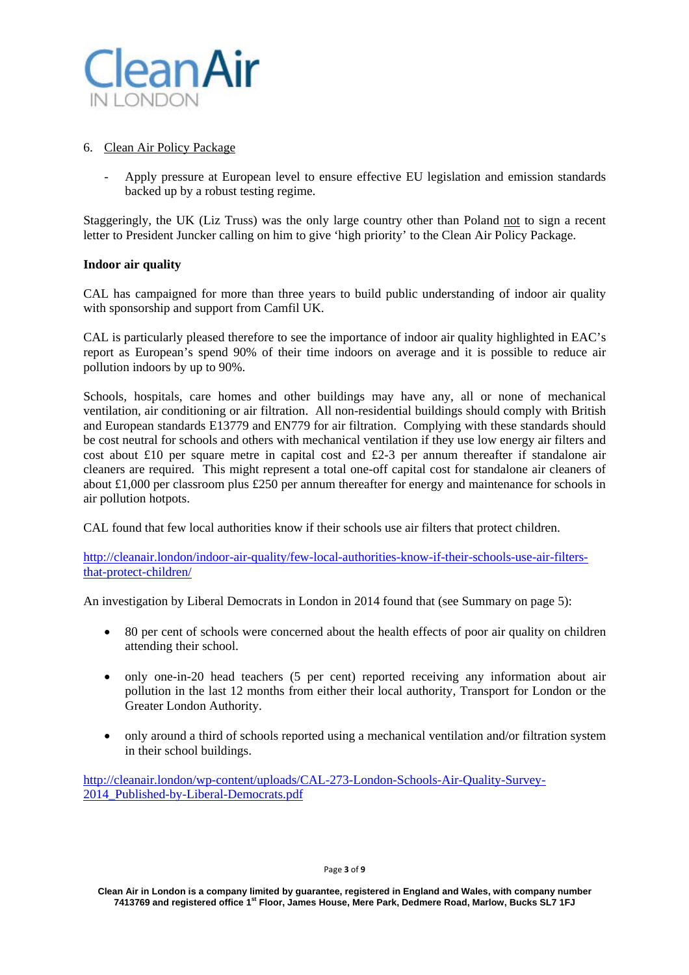

### 6. Clean Air Policy Package

- Apply pressure at European level to ensure effective EU legislation and emission standards backed up by a robust testing regime.

Staggeringly, the UK (Liz Truss) was the only large country other than Poland not to sign a recent letter to President Juncker calling on him to give 'high priority' to the Clean Air Policy Package.

### **Indoor air quality**

CAL has campaigned for more than three years to build public understanding of indoor air quality with sponsorship and support from Camfil UK.

CAL is particularly pleased therefore to see the importance of indoor air quality highlighted in EAC's report as European's spend 90% of their time indoors on average and it is possible to reduce air pollution indoors by up to 90%.

Schools, hospitals, care homes and other buildings may have any, all or none of mechanical ventilation, air conditioning or air filtration. All non-residential buildings should comply with British and European standards E13779 and EN779 for air filtration. Complying with these standards should be cost neutral for schools and others with mechanical ventilation if they use low energy air filters and cost about £10 per square metre in capital cost and £2-3 per annum thereafter if standalone air cleaners are required. This might represent a total one-off capital cost for standalone air cleaners of about £1,000 per classroom plus £250 per annum thereafter for energy and maintenance for schools in air pollution hotpots.

CAL found that few local authorities know if their schools use air filters that protect children.

http://cleanair.london/indoor-air-quality/few-local-authorities-know-if-their-schools-use-air-filtersthat-protect-children/

An investigation by Liberal Democrats in London in 2014 found that (see Summary on page 5):

- 80 per cent of schools were concerned about the health effects of poor air quality on children attending their school.
- only one-in-20 head teachers (5 per cent) reported receiving any information about air pollution in the last 12 months from either their local authority, Transport for London or the Greater London Authority.
- only around a third of schools reported using a mechanical ventilation and/or filtration system in their school buildings.

http://cleanair.london/wp-content/uploads/CAL-273-London-Schools-Air-Quality-Survey-2014 Published-by-Liberal-Democrats.pdf

#### Page **3** of **9**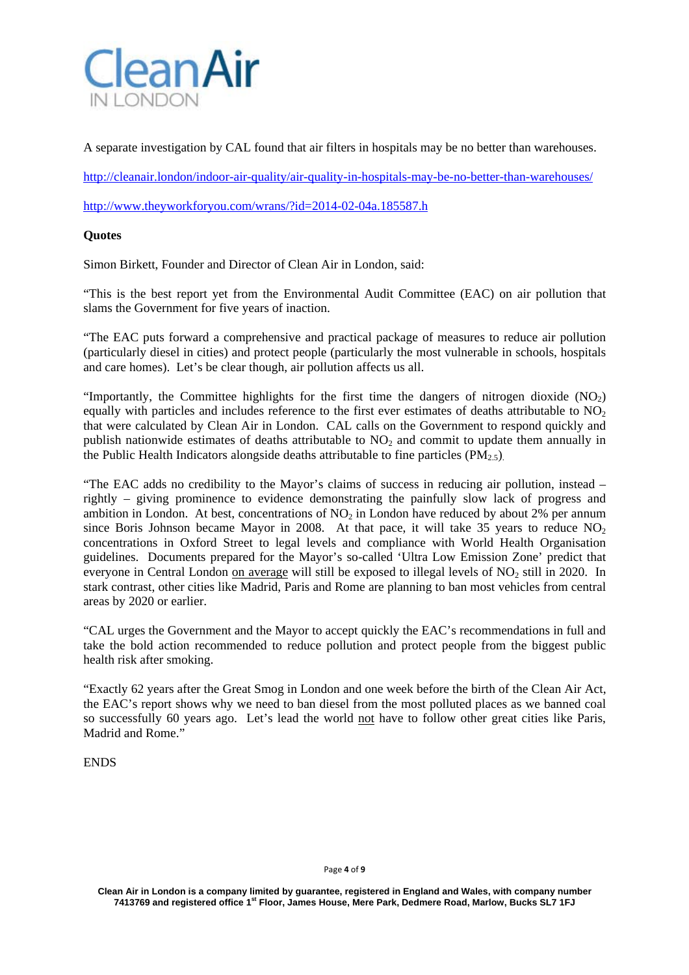

A separate investigation by CAL found that air filters in hospitals may be no better than warehouses.

http://cleanair.london/indoor-air-quality/air-quality-in-hospitals-may-be-no-better-than-warehouses/

http://www.theyworkforyou.com/wrans/?id=2014-02-04a.185587.h

## **Quotes**

Simon Birkett, Founder and Director of Clean Air in London, said:

"This is the best report yet from the Environmental Audit Committee (EAC) on air pollution that slams the Government for five years of inaction.

"The EAC puts forward a comprehensive and practical package of measures to reduce air pollution (particularly diesel in cities) and protect people (particularly the most vulnerable in schools, hospitals and care homes). Let's be clear though, air pollution affects us all.

"Importantly, the Committee highlights for the first time the dangers of nitrogen dioxide  $(NO<sub>2</sub>)$ equally with particles and includes reference to the first ever estimates of deaths attributable to  $NO<sub>2</sub>$ that were calculated by Clean Air in London. CAL calls on the Government to respond quickly and publish nationwide estimates of deaths attributable to  $NO<sub>2</sub>$  and commit to update them annually in the Public Health Indicators alongside deaths attributable to fine particles  $(PM_{2.5})$ .

"The EAC adds no credibility to the Mayor's claims of success in reducing air pollution, instead – rightly – giving prominence to evidence demonstrating the painfully slow lack of progress and ambition in London. At best, concentrations of  $NO<sub>2</sub>$  in London have reduced by about 2% per annum since Boris Johnson became Mayor in 2008. At that pace, it will take 35 years to reduce  $NO<sub>2</sub>$ concentrations in Oxford Street to legal levels and compliance with World Health Organisation guidelines. Documents prepared for the Mayor's so-called 'Ultra Low Emission Zone' predict that everyone in Central London on average will still be exposed to illegal levels of NO<sub>2</sub> still in 2020. In stark contrast, other cities like Madrid, Paris and Rome are planning to ban most vehicles from central areas by 2020 or earlier.

"CAL urges the Government and the Mayor to accept quickly the EAC's recommendations in full and take the bold action recommended to reduce pollution and protect people from the biggest public health risk after smoking.

"Exactly 62 years after the Great Smog in London and one week before the birth of the Clean Air Act, the EAC's report shows why we need to ban diesel from the most polluted places as we banned coal so successfully 60 years ago. Let's lead the world not have to follow other great cities like Paris, Madrid and Rome."

ENDS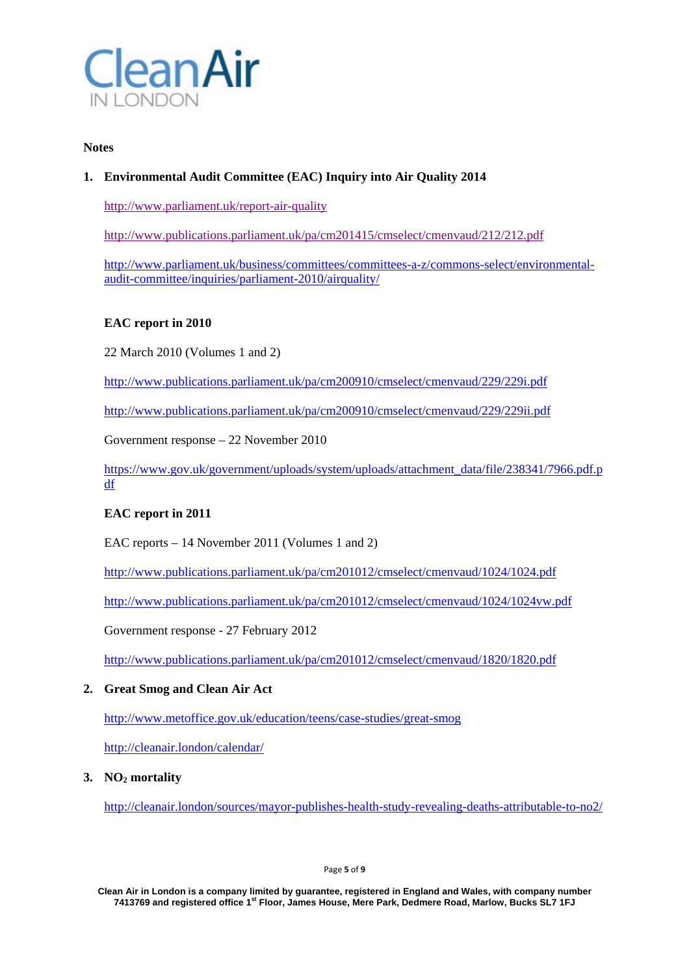

#### **Notes**

# **1. Environmental Audit Committee (EAC) Inquiry into Air Quality 2014**

http://www.parliament.uk/report-air-quality

http://www.publications.parliament.uk/pa/cm201415/cmselect/cmenvaud/212/212.pdf

http://www.parliament.uk/business/committees/committees-a-z/commons-select/environmentalaudit-committee/inquiries/parliament-2010/airquality/

### **EAC report in 2010**

22 March 2010 (Volumes 1 and 2)

http://www.publications.parliament.uk/pa/cm200910/cmselect/cmenvaud/229/229i.pdf

http://www.publications.parliament.uk/pa/cm200910/cmselect/cmenvaud/229/229ii.pdf

Government response – 22 November 2010

https://www.gov.uk/government/uploads/system/uploads/attachment\_data/file/238341/7966.pdf.p df

### **EAC report in 2011**

EAC reports – 14 November 2011 (Volumes 1 and 2)

http://www.publications.parliament.uk/pa/cm201012/cmselect/cmenvaud/1024/1024.pdf

http://www.publications.parliament.uk/pa/cm201012/cmselect/cmenvaud/1024/1024vw.pdf

Government response - 27 February 2012

http://www.publications.parliament.uk/pa/cm201012/cmselect/cmenvaud/1820/1820.pdf

## **2. Great Smog and Clean Air Act**

http://www.metoffice.gov.uk/education/teens/case-studies/great-smog

http://cleanair.london/calendar/

### **3. NO2 mortality**

http://cleanair.london/sources/mayor-publishes-health-study-revealing-deaths-attributable-to-no2/

**Clean Air in London is a company limited by guarantee, registered in England and Wales, with company number 7413769 and registered office 1st Floor, James House, Mere Park, Dedmere Road, Marlow, Bucks SL7 1FJ**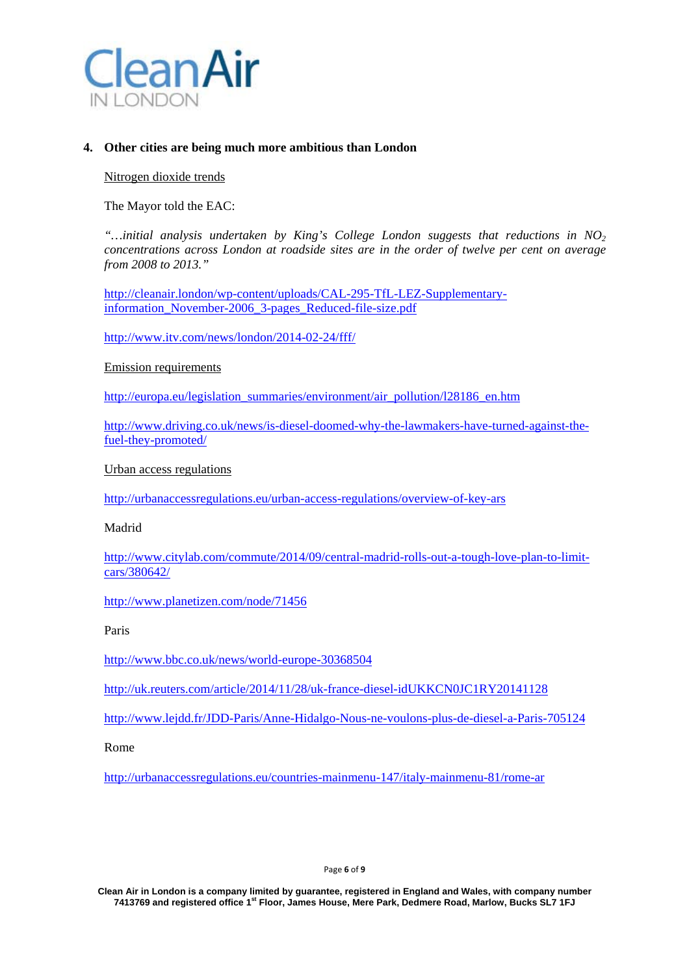

### **4. Other cities are being much more ambitious than London**

#### Nitrogen dioxide trends

The Mayor told the EAC:

*"…initial analysis undertaken by King's College London suggests that reductions in NO2 concentrations across London at roadside sites are in the order of twelve per cent on average from 2008 to 2013."* 

http://cleanair.london/wp-content/uploads/CAL-295-TfL-LEZ-Supplementaryinformation November-2006 3-pages Reduced-file-size.pdf

http://www.itv.com/news/london/2014-02-24/fff/

#### Emission requirements

http://europa.eu/legislation\_summaries/environment/air\_pollution/l28186\_en.htm

http://www.driving.co.uk/news/is-diesel-doomed-why-the-lawmakers-have-turned-against-thefuel-they-promoted/

Urban access regulations

http://urbanaccessregulations.eu/urban-access-regulations/overview-of-key-ars

Madrid

http://www.citylab.com/commute/2014/09/central-madrid-rolls-out-a-tough-love-plan-to-limitcars/380642/

http://www.planetizen.com/node/71456

Paris

http://www.bbc.co.uk/news/world-europe-30368504

http://uk.reuters.com/article/2014/11/28/uk-france-diesel-idUKKCN0JC1RY20141128

http://www.lejdd.fr/JDD-Paris/Anne-Hidalgo-Nous-ne-voulons-plus-de-diesel-a-Paris-705124

Rome

http://urbanaccessregulations.eu/countries-mainmenu-147/italy-mainmenu-81/rome-ar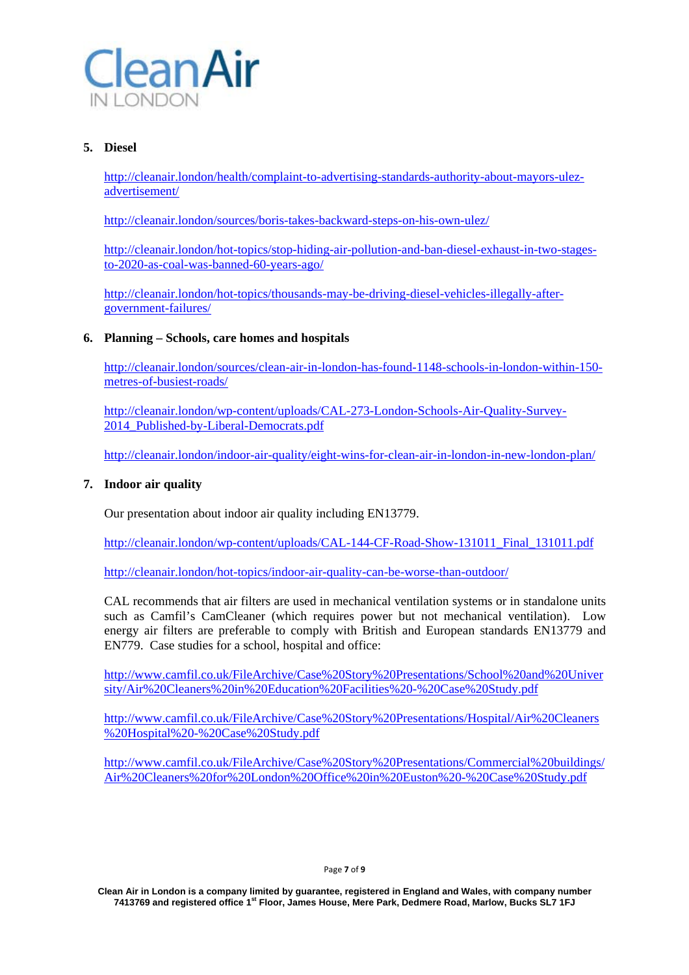

# **5. Diesel**

http://cleanair.london/health/complaint-to-advertising-standards-authority-about-mayors-ulezadvertisement/

http://cleanair.london/sources/boris-takes-backward-steps-on-his-own-ulez/

http://cleanair.london/hot-topics/stop-hiding-air-pollution-and-ban-diesel-exhaust-in-two-stagesto-2020-as-coal-was-banned-60-years-ago/

http://cleanair.london/hot-topics/thousands-may-be-driving-diesel-vehicles-illegally-aftergovernment-failures/

### **6. Planning – Schools, care homes and hospitals**

http://cleanair.london/sources/clean-air-in-london-has-found-1148-schools-in-london-within-150 metres-of-busiest-roads/

http://cleanair.london/wp-content/uploads/CAL-273-London-Schools-Air-Quality-Survey-2014 Published-by-Liberal-Democrats.pdf

http://cleanair.london/indoor-air-quality/eight-wins-for-clean-air-in-london-in-new-london-plan/

## **7. Indoor air quality**

Our presentation about indoor air quality including EN13779.

http://cleanair.london/wp-content/uploads/CAL-144-CF-Road-Show-131011\_Final\_131011.pdf

http://cleanair.london/hot-topics/indoor-air-quality-can-be-worse-than-outdoor/

CAL recommends that air filters are used in mechanical ventilation systems or in standalone units such as Camfil's CamCleaner (which requires power but not mechanical ventilation). Low energy air filters are preferable to comply with British and European standards EN13779 and EN779. Case studies for a school, hospital and office:

http://www.camfil.co.uk/FileArchive/Case%20Story%20Presentations/School%20and%20Univer sity/Air%20Cleaners%20in%20Education%20Facilities%20-%20Case%20Study.pdf

http://www.camfil.co.uk/FileArchive/Case%20Story%20Presentations/Hospital/Air%20Cleaners %20Hospital%20-%20Case%20Study.pdf

http://www.camfil.co.uk/FileArchive/Case%20Story%20Presentations/Commercial%20buildings/ Air%20Cleaners%20for%20London%20Office%20in%20Euston%20-%20Case%20Study.pdf

#### Page **7** of **9**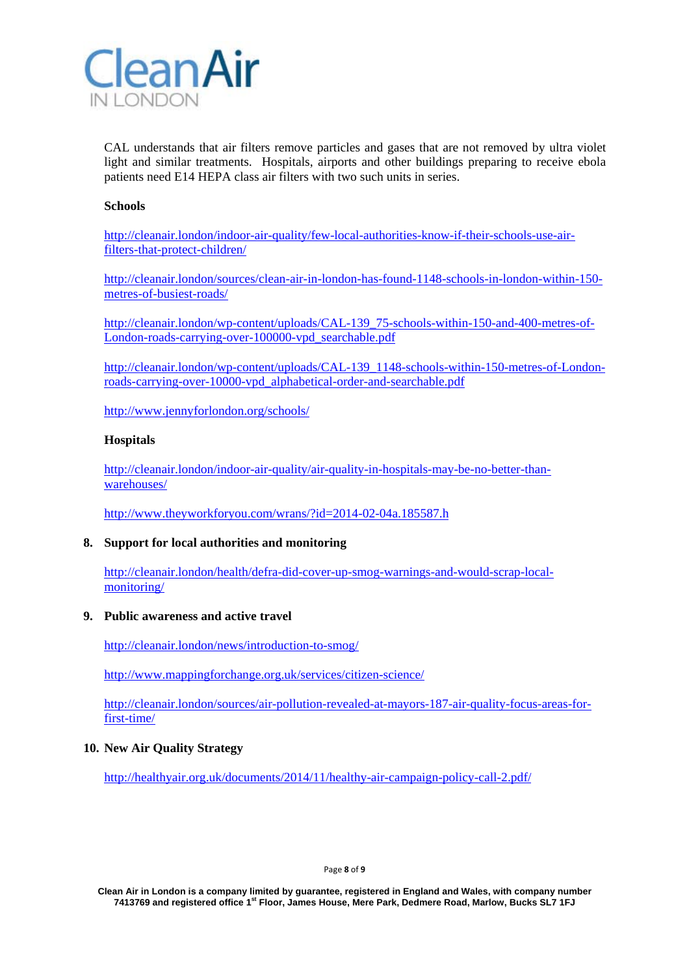

CAL understands that air filters remove particles and gases that are not removed by ultra violet light and similar treatments. Hospitals, airports and other buildings preparing to receive ebola patients need E14 HEPA class air filters with two such units in series.

#### **Schools**

http://cleanair.london/indoor-air-quality/few-local-authorities-know-if-their-schools-use-airfilters-that-protect-children/

http://cleanair.london/sources/clean-air-in-london-has-found-1148-schools-in-london-within-150 metres-of-busiest-roads/

http://cleanair.london/wp-content/uploads/CAL-139\_75-schools-within-150-and-400-metres-of-London-roads-carrying-over-100000-vpd\_searchable.pdf

http://cleanair.london/wp-content/uploads/CAL-139\_1148-schools-within-150-metres-of-Londonroads-carrying-over-10000-vpd\_alphabetical-order-and-searchable.pdf

http://www.jennyforlondon.org/schools/

#### **Hospitals**

http://cleanair.london/indoor-air-quality/air-quality-in-hospitals-may-be-no-better-thanwarehouses/

http://www.theyworkforyou.com/wrans/?id=2014-02-04a.185587.h

### **8. Support for local authorities and monitoring**

http://cleanair.london/health/defra-did-cover-up-smog-warnings-and-would-scrap-localmonitoring/

#### **9. Public awareness and active travel**

http://cleanair.london/news/introduction-to-smog/

http://www.mappingforchange.org.uk/services/citizen-science/

http://cleanair.london/sources/air-pollution-revealed-at-mayors-187-air-quality-focus-areas-forfirst-time/

### **10. New Air Quality Strategy**

http://healthyair.org.uk/documents/2014/11/healthy-air-campaign-policy-call-2.pdf/